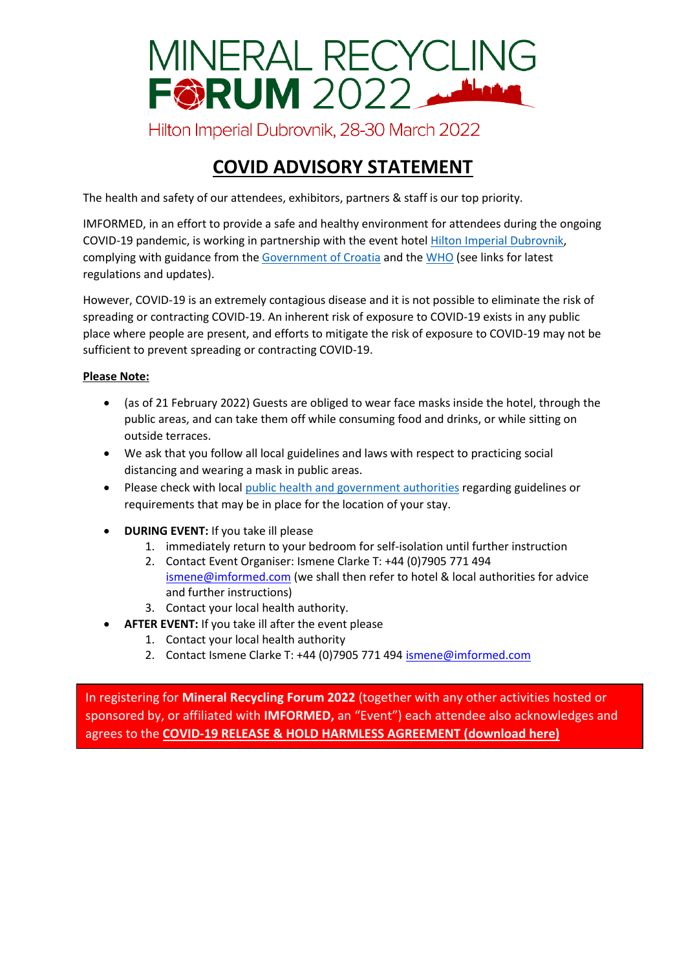

## **COVID ADVISORY STATEMENT**

The health and safety of our attendees, exhibitors, partners & staff is our top priority.

IMFORMED, in an effort to provide a safe and healthy environment for attendees during the ongoing COVID-19 pandemic, is working in partnership with the event hotel [Hilton Imperial Dubrovnik,](https://www.hilton.com/en/hotels/dbvhihi-hilton-imperial-dubrovnik/) complying with guidance from th[e Government of Croatia](https://www.koronavirus.hr/en) and th[e WHO](https://www.who.int/health-topics/coronavirus#tab=tab_1) (see links for latest regulations and updates).

However, COVID-19 is an extremely contagious disease and it is not possible to eliminate the risk of spreading or contracting COVID-19. An inherent risk of exposure to COVID-19 exists in any public place where people are present, and efforts to mitigate the risk of exposure to COVID-19 may not be sufficient to prevent spreading or contracting COVID-19.

## **Please Note:**

- (as of 21 February 2022) Guests are obliged to wear face masks inside the hotel, through the public areas, and can take them off while consuming food and drinks, or while sitting on outside terraces.
- We ask that you follow all local guidelines and laws with respect to practicing social distancing and wearing a mask in public areas.
- Please check with local [public health and government authorities](https://www.koronavirus.hr/en) regarding guidelines or requirements that may be in place for the location of your stay.
- **DURING EVENT:** If you take ill please
	- 1. immediately return to your bedroom for self-isolation until further instruction
	- 2. Contact Event Organiser: Ismene Clarke T: +44 (0)7905 771 494 [ismene@imformed.com](mailto:ismene@imformed.com) (we shall then refer to hotel & local authorities for advice and further instructions)
	- 3. Contact your local health authority.
	- AFTER EVENT: If you take ill after the event please
		- 1. Contact your local health authority
		- 2. Contact Ismene Clarke T: +44 (0)7905 771 494 [ismene@imformed.com](mailto:ismene@imformed.com)

In registering for **Mineral Recycling Forum 2022** (together with any other activities hosted or sponsored by, or affiliated with **IMFORMED,** an "Event") each attendee also acknowledges and agrees to the **[COVID-19 RELEASE & HOLD HARMLESS AGREEMENT \(download](http://imformed.com/download/40351/) here)**